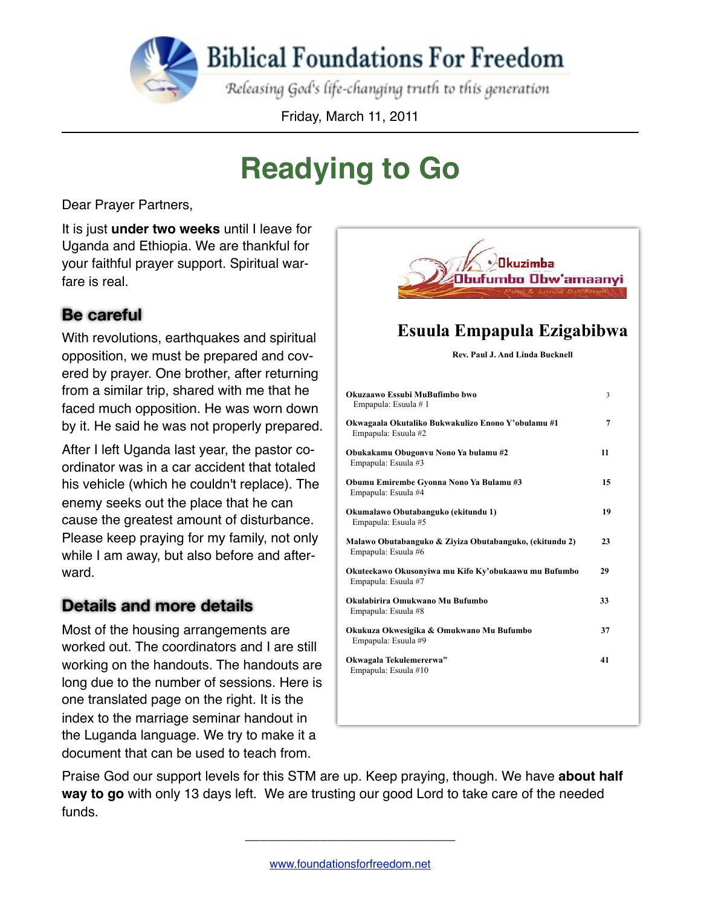**Biblical Foundations For Freedom** 

Releasing God's life-changing truth to this generation

Friday, March 11, 2011

# **Readying to Go**

Dear Prayer Partners,

It is just **under two weeks** until I leave for Uganda and Ethiopia. We are thankful for your faithful prayer support. Spiritual warfare is real

### **Be careful**

With revolutions, earthquakes and spiritual opposition, we must be prepared and covered by prayer. One brother, after returning from a similar trip, shared with me that he faced much opposition. He was worn down by it. He said he was not properly prepared.

After I left Uganda last year, the pastor coordinator was in a car accident that totaled his vehicle (which he couldn't replace). The enemy seeks out the place that he can cause the greatest amount of disturbance. Please keep praying for my family, not only while I am away, but also before and afterward.

#### **Details and more details**

Most of the housing arrangements are worked out. The coordinators and I are still working on the handouts. The handouts are long due to the number of sessions. Here is one translated page on the right. It is the index to the marriage seminar handout in the Luganda language. We try to make it a document that can be used to teach from.



### Esuula Empapula Ezigabibwa

Rev. Paul J. And Linda Bucknell

| Okuzaawo Essubi MuBufimbo bwo<br>Empapula: Esuula # 1                          | 3  |
|--------------------------------------------------------------------------------|----|
| Okwagaala Okutaliko Bukwakulizo Enono Y'obulamu #1<br>Empapula: Esuula #2      | 7  |
| Obukakamu Obugonvu Nono Ya bulamu #2<br>Empapula: Esuula #3                    | 11 |
| Obumu Emirembe Gyonna Nono Ya Bulamu #3<br>Empapula: Esuula #4                 | 15 |
| Okumalawo Obutabanguko (ekitundu 1)<br>Empapula: Esuula #5                     | 19 |
| Malawo Obutabanguko & Ziyiza Obutabanguko, (ekitundu 2)<br>Empapula: Esuula #6 | 23 |
| Okuteekawo Okusonyiwa mu Kifo Ky'obukaawu mu Bufumbo<br>Empapula: Esuula #7    | 29 |
| Okulabirira Omukwano Mu Bufumbo<br>Empapula: Esuula #8                         | 33 |
| Okukuza Okwesigika & Omukwano Mu Bufumbo<br>Empapula: Esuula #9                | 37 |
| Okwagala Tekulemererwa"<br>Empapula: Esuula #10                                | 41 |
|                                                                                |    |
|                                                                                |    |

Praise God our support levels for this STM are up. Keep praying, though. We have **about half way to go** with only 13 days left. We are trusting our good Lord to take care of the needed funds.

\_\_\_\_\_\_\_\_\_\_\_\_\_\_\_\_\_\_\_\_\_\_\_\_\_\_\_\_